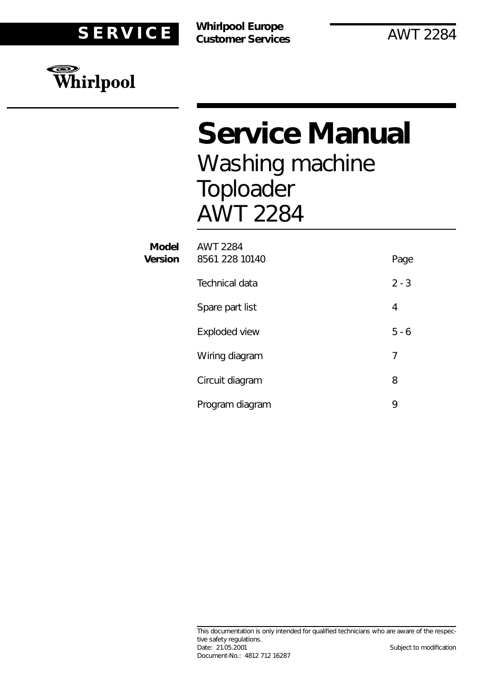

**Customer Services**



# **Service Manual** Washing machine Toploader AWT 2284

| <b>Model</b><br><b>Version</b> | <b>AWT 2284</b><br>8561 228 10140 | Page    |
|--------------------------------|-----------------------------------|---------|
|                                | Technical data                    | $2 - 3$ |
|                                | Spare part list                   | 4       |
|                                | Exploded view                     | $5 - 6$ |
|                                | Wiring diagram                    | 7       |
|                                | Circuit diagram                   | 8       |
|                                | Program diagram                   | 9       |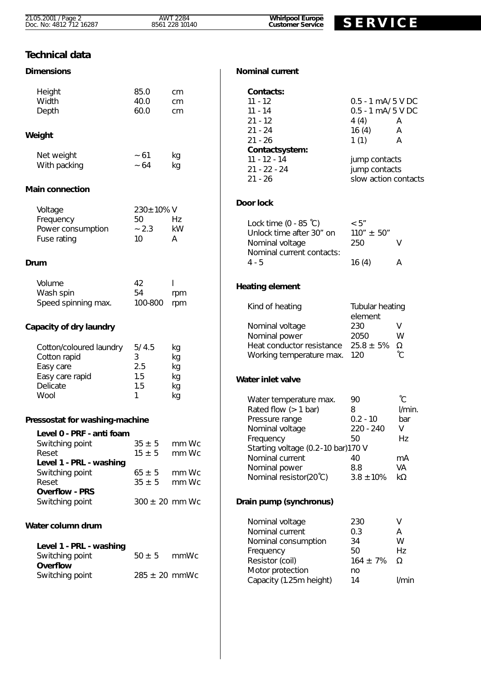| 21.05.2001<br>Page<br>Doc. No: 4812<br>. 712 16287 | 2284<br>AWT<br>10140<br>228<br>8561 | <b>Whirlpool Europe</b><br><b>Service</b><br>Customer |  |
|----------------------------------------------------|-------------------------------------|-------------------------------------------------------|--|
|                                                    |                                     |                                                       |  |

#### **Technical data**

#### **Dimensions**

**Weight**

# **Main connection**

| Voltage           | 230±10%V |    |
|-------------------|----------|----|
| Frequency         | 50       | Hz |
| Power consumption | $-2.3$   | kW |
| Fuse rating       | 10       | A  |

Height 85.0 cm<br>Width 40.0 cm Width 40.0 cm Depth 60.0 cm

Net weight  $\sim$  61 kg With packing  $\sim 64$  kg

#### **Drum**

| Volume              | 42          |     |
|---------------------|-------------|-----|
| Wash spin           | .54         | rpm |
| Speed spinning max. | 100-800 rpm |     |

#### **Capacity of dry laundry**

| Cotton/coloured laundry | 5/4.5 | kq |
|-------------------------|-------|----|
| Cotton rapid            | З     | kg |
| Easy care               | 2.5   | kg |
| Easy care rapid         | 1.5   | kg |
| Delicate                | 1.5   | kg |
| Wool                    |       | kg |

#### **Pressostat for washing-machine**

| Level 0 - PRF - anti foam |                |       |
|---------------------------|----------------|-------|
| Switching point           | $35 \pm 5$     | mm Wc |
| Reset                     | $15 \pm 5$     | mm Wc |
| Level 1 - PRL - washing   |                |       |
| Switching point           | $65 \pm 5$     | mm Wc |
| Reset                     | $35 \pm 5$     | mm Wc |
| <b>Overflow - PRS</b>     |                |       |
| Switching point           | 300 ± 20 mm Wc |       |

#### **Water column drum**

| Level 1 - PRL - washing |                   |      |
|-------------------------|-------------------|------|
| Switching point         | $50 + 5$          | mmWc |
| Overflow                |                   |      |
| Switching point         | $285 \pm 20$ mmWc |      |

#### **Nominal current**

| Contacts:      |                        |
|----------------|------------------------|
| 11 - 12        | $0.5 - 1$ mA/ $5$ V DC |
| $11 - 14$      | $0.5 - 1$ mA/ $5$ V DC |
| $21 - 12$      | 4(4)<br>Α              |
| $21 - 24$      | 16(4)<br>Α             |
| 21 - 26        | 1(1)<br>A              |
| Contactsystem: |                        |
| $11 - 12 - 14$ | jump contacts          |
| $21 - 22 - 24$ | jump contacts          |
| $21 - 26$      | slow action contacts   |
|                |                        |
| Door lock      |                        |

| Lock time $(0 - 85 \degree C)$ | < 5''            |               |
|--------------------------------|------------------|---------------|
| Unlock time after 30" on       | $110'' \pm 50''$ |               |
| Nominal voltage                | 250              | $\mathcal{L}$ |
| Nominal current contacts:      |                  |               |
| 4 - 5                          | 16(4)            |               |

#### **Heating element**

| Kind of heating           | Tubular heating |               |
|---------------------------|-----------------|---------------|
|                           | element         |               |
| Nominal voltage           | 230             | V             |
| Nominal power             | 2050            | W             |
| Heat conductor resistance | $25.8 + 5\%$    | $\Omega$      |
| Working temperature max.  | 120             | $^{\circ}$ C. |

#### **Water inlet valve**

| 90             | °C.                                |
|----------------|------------------------------------|
| 8              | I/min.                             |
| $0.2 - 10$     | har                                |
| $220 - 240$    | V                                  |
| 50             | Hz                                 |
|                |                                    |
| 40             | mА                                 |
| 8.8            | VА                                 |
| $3.8 \pm 10\%$ | kΩ                                 |
|                | Starting voltage (0.2-10 bar)170 V |

#### **Drain pump (synchronus)**

| Nominal voltage         | 230           |                |
|-------------------------|---------------|----------------|
| Nominal current         | 0.3           | A              |
| Nominal consumption     | 34            | W              |
| Frequency               | 50            | H <sub>7</sub> |
| Resistor (coil)         | $164 \pm 7\%$ | $\Omega$       |
| Motor protection        | no            |                |
| Capacity (1.25m height) | 14            | $I/m$ in       |
|                         |               |                |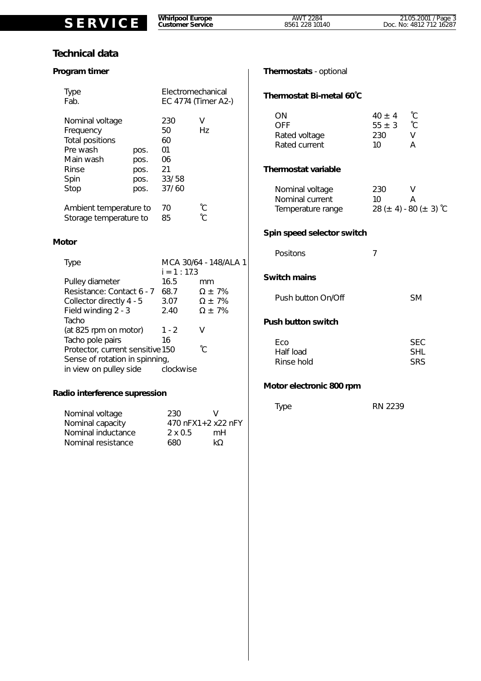# **SERVICE Whirlpool Europe** AWT 2284<br> **SERVICE Customer Service** 8561 228 10140

### **Technical data**

#### **Program timer**

| <b>Type</b><br>Fab.          |      |           | Electromechanical<br>EC 4774 (Timer A2-) |
|------------------------------|------|-----------|------------------------------------------|
| Nominal voltage<br>Frequency |      | 230<br>50 | V<br>Hz                                  |
| Total positions              |      | 60        |                                          |
| Pre wash                     | pos. | 01        |                                          |
| Main wash                    | pos. | 06        |                                          |
| Rinse                        | pos. | 21        |                                          |
| Spin                         | pos. | 33/58     |                                          |
| Stop                         | pos. | 37/60     |                                          |
| Ambient temperature to       |      | 70        | °C                                       |
| Storage temperature to       |      | 85        | °C                                       |

#### **Motor**

| MCA 30/64 - 148/ALA 1            |               |  |  |  |  |  |  |
|----------------------------------|---------------|--|--|--|--|--|--|
| $i = 1 : 17.3$                   |               |  |  |  |  |  |  |
| 16.5                             | mm            |  |  |  |  |  |  |
| 68.7                             | $\Omega$ ± 7% |  |  |  |  |  |  |
| 3.07                             | $\Omega$ ± 7% |  |  |  |  |  |  |
| 2.40                             | $\Omega$ ± 7% |  |  |  |  |  |  |
|                                  |               |  |  |  |  |  |  |
| $1 - 2$                          | V             |  |  |  |  |  |  |
| 16                               |               |  |  |  |  |  |  |
| Protector, current sensitive 150 | $^{\circ}$ C. |  |  |  |  |  |  |
| Sense of rotation in spinning,   |               |  |  |  |  |  |  |
| clockwise                        |               |  |  |  |  |  |  |
|                                  |               |  |  |  |  |  |  |

#### **Radio interference supression**

| Nominal voltage    | 230                |     |
|--------------------|--------------------|-----|
| Nominal capacity   | 470 $nFX1+2x22nFY$ |     |
| Nominal inductance | $2 \times 0.5$     | mH. |
| Nominal resistance | 680                | kO. |

#### **Thermostats** - optional

#### **Thermostat Bi-metal 60˚C**

| $40 + 4$ | ŤС  |
|----------|-----|
| $55 + 3$ | °С. |
| 230      |     |
| 10       | Δ   |
|          |     |

#### **Thermostat variable**

| Nominal voltage   | 230 | $\vee$                           |
|-------------------|-----|----------------------------------|
| Nominal current   | 10  |                                  |
| Temperature range |     | 28 ( $\pm$ 4) - 80 ( $\pm$ 3) °C |

#### **Spin speed selector switch**

| Positons                  | 7 |            |
|---------------------------|---|------------|
| <b>Switch mains</b>       |   |            |
| Push button On/Off        |   | SM         |
| <b>Push button switch</b> |   |            |
| Eco<br>Lolf lood          |   | SEC<br>C⊔I |

### Half load SHL<br>Rinse hold SRS Rinse hold

#### **Motor electronic 800 rpm**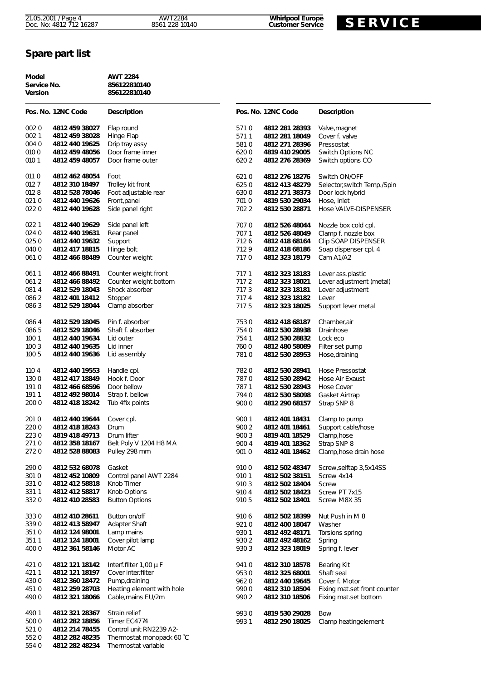# AWT2284 **Whirlpool Europe**<br>8561 228 10140 **Customer Service SERVICE**

## **Spare part list**

| Model<br>Service No.<br>Version      |                                                                                        | <b>AWT 2284</b><br>856122810140<br>856122810140                                                              |              |                                  |                                    |
|--------------------------------------|----------------------------------------------------------------------------------------|--------------------------------------------------------------------------------------------------------------|--------------|----------------------------------|------------------------------------|
|                                      | Pos. No. 12NC Code                                                                     | <b>Description</b>                                                                                           |              | Pos. No. 12NC Code               | Description                        |
| 0020                                 | 4812 459 38027                                                                         | Flap round                                                                                                   | 5710         | 4812 281 28393                   | Valve, magnet                      |
| 0021                                 | 4812 459 38028                                                                         | Hinge Flap                                                                                                   | 5711         | 4812 281 18049                   | Cover f. valve                     |
| 0040                                 | 4812 440 19625                                                                         | Drip tray assy                                                                                               | 5810         | 4812 271 28396                   | Pressostat                         |
| 0100                                 | 4812 459 48056                                                                         | Door frame inner                                                                                             | 6200         | 4819 410 29005                   | Switch Options NC                  |
| 010 1                                | 4812 459 48057                                                                         | Door frame outer                                                                                             | 6202         | 4812 276 28369                   | Switch options CO                  |
| 011 0                                | 4812 462 48054                                                                         | Foot                                                                                                         | 6210         | 4812 276 18276                   | Switch ON/OFF                      |
| 012 7                                | 4812 310 18497                                                                         | Trolley kit front                                                                                            | 6250         | 4812 413 48279                   | Selector, switch Temp./Spin        |
| 0128                                 | 4812 528 78046                                                                         | Foot adjustable rear                                                                                         | 6300         | 4812 271 38373                   | Door lock hybrid                   |
| 0210                                 | 4812 440 19626                                                                         | Front, panel                                                                                                 | 701 0        | 4819 530 29034                   | Hose, inlet                        |
| 0220                                 | 4812 440 19628                                                                         | Side panel right                                                                                             | 702 2        | 4812 530 28871                   | Hose VALVE-DISPENSER               |
| 0221                                 | 4812 440 19629                                                                         | Side panel left                                                                                              | 7070         | 4812 526 48044                   | Nozzle box cold cpl.               |
| 0240                                 | 4812 440 19631                                                                         | Rear panel                                                                                                   | 7071         | 4812 526 48049                   | Clamp f. nozzle box                |
| 0250                                 | 4812 440 19632                                                                         | Support                                                                                                      | 7126         | 4812 418 68164                   | Clip SOAP DISPENSER                |
| 0400                                 | 4812 417 18815                                                                         | Hinge bolt                                                                                                   | 7129         | 4812 418 68186                   | Soap dispenser cpl. 4              |
| 0610                                 | 4812 466 88489                                                                         | Counter weight                                                                                               | 7170         | 4812 323 18179                   | Cam A1/A2                          |
| 0611                                 | 4812 466 88491                                                                         | Counter weight front                                                                                         | 717 1        | 4812 323 18183                   | Lever ass.plastic                  |
| 0612                                 | 4812 466 88492                                                                         | Counter weight bottom                                                                                        | 717 2        | 4812 323 18021                   | Lever adjustment (metal)           |
| 0814                                 | 4812 529 18043                                                                         | Shock absorber                                                                                               | 7173         | 4812 323 18181                   | Lever adjustment                   |
| 0862                                 | 4812 401 18412                                                                         | Stopper                                                                                                      | 7174         | 4812 323 18182                   | Lever                              |
| 086 3                                | 4812 529 18044                                                                         | Clamp absorber                                                                                               | 7175         | 4812 323 18025                   | Support lever metal                |
| 086 4                                | 4812 529 18045                                                                         | Pin f. absorber                                                                                              | 7530         | 4812 418 68187                   | Chamber, air                       |
| 086 5                                | 4812 529 18046                                                                         | Shaft f. absorber                                                                                            | 7540         | 4812 530 28938                   | Drainhose                          |
| 1001                                 | 4812 440 19634                                                                         | Lid outer                                                                                                    | 7541         | 4812 530 28832                   | Lock eco                           |
| 100 3                                | 4812 440 19635                                                                         | Lid inner                                                                                                    | 7600         | 4812 480 58089                   | Filter set pump                    |
| 100 5                                | 4812 440 19636                                                                         | Lid assembly                                                                                                 | 7810         | 4812 530 28953                   | Hose, draining                     |
| 110 4                                | 4812 440 19553                                                                         | Handle cpl.                                                                                                  | 7820         | 4812 530 28941                   | Hose Pressostat                    |
| 1300                                 | 4812 417 18849                                                                         | Hook f. Door                                                                                                 | 7870         | 4812 530 28942                   | Hose Air Exaust                    |
| 1910                                 | 4812 466 68596                                                                         | Door bellow                                                                                                  | 7871         | 4812 530 28943                   | <b>Hose Cover</b>                  |
| 1911                                 | 4812 492 98014                                                                         | Strap f. bellow                                                                                              | 7940         | 4812 530 58098                   | Gasket Airtrap                     |
| 2000                                 | 4812 418 18242                                                                         | Tub 4fix points                                                                                              | 9000         | 4812 290 68157                   | Strap SNP 8                        |
| 2010                                 | 4812 440 19644                                                                         | Cover cpl.                                                                                                   | 900 1        | 4812 401 18431                   | Clamp to pump                      |
| 2200                                 | 4812 418 18243                                                                         | Drum                                                                                                         | 900 2        | 4812 401 18461                   | Support cable/hose                 |
| 223 0                                | 4819 418 49713                                                                         | Drum lifter                                                                                                  | 900 3        | 4819 401 18529                   | Clamp, hose                        |
| 2710                                 | 4812 358 18167                                                                         | Belt Poly V 1204 H8 MA                                                                                       | 900 4        | 4819 401 18362                   | Strap SNP 8                        |
| 2720                                 | 4812 528 88083                                                                         | Pulley 298 mm                                                                                                | 901 0        | 4812 401 18462                   | Clamp, hose drain hose             |
| 2900                                 | 4812 532 68078                                                                         | Gasket                                                                                                       | 9100         | 4812 502 48347                   | Screw, selftap 3,5x14SS            |
| 301 0                                | 4812 452 10809                                                                         | Control panel AWT 2284                                                                                       | 9101         | 4812 502 38151                   | Screw 4x14                         |
| 3310                                 | 4812 412 58818                                                                         | Knob Timer                                                                                                   | 910 3        | 4812 502 18404                   | Screw                              |
| 3311                                 | 4812 412 58817                                                                         | Knob Options                                                                                                 | 9104         | 4812 502 18423                   | Screw PT 7x15                      |
| 3320                                 | 4812 410 28583                                                                         | <b>Button Options</b>                                                                                        | 910 5        | 4812 502 18401                   | Screw M8X 35                       |
| 3330                                 | 4812 410 28611                                                                         | Button on/off                                                                                                | 9106         | 4812 502 18399                   | Nut Push in M 8                    |
| 3390                                 | 4812 413 58947                                                                         | Adapter Shaft                                                                                                | 9210         | 4812 400 18047                   | Washer                             |
| 3510                                 | 4812 124 98001                                                                         | Lamp mains                                                                                                   | 9301         | 4812 492 48171                   | Torsions spring                    |
| 3511                                 | 4812 124 18001                                                                         | Cover pilot lamp                                                                                             | 930 2        | 4812 492 48162                   | Spring                             |
| 4000                                 | 4812 361 58146                                                                         | Motor AC                                                                                                     | 9303         | 4812 323 18019                   | Spring f. lever                    |
| 4210                                 | 4812 121 18142                                                                         | Interf.filter $1,00 \mu$ F                                                                                   | 9410         | 4812 310 18578                   | Bearing Kit                        |
| 4211                                 | 4812 121 18197                                                                         | Cover inter.filter                                                                                           | 9530         | 4812 325 68001                   | Shaft seal                         |
| 4300                                 | 4812 360 18472                                                                         | Pump, draining                                                                                               | 9620         | 4812 440 19645                   | Cover f. Motor                     |
| 4510                                 | 4812 259 28703                                                                         | Heating element with hole                                                                                    | 9900         | 4812 310 18504                   | Fixing mat.set front counter       |
| 4900                                 | 4812 321 18066                                                                         | Cable, mains EU/2m                                                                                           | 990 2        | 4812 310 18506                   | Fixing mat.set bottom              |
| 4901<br>5000<br>5210<br>5520<br>5540 | 4812 321 28367<br>4812 282 18856<br>4812 214 78455<br>4812 282 48235<br>4812 282 48234 | Strain relief<br>Timer EC4774<br>Control unit RN2239 A2-<br>Thermostat monopack 60 °C<br>Thermostat variable | 9930<br>9931 | 4819 530 29028<br>4812 290 18025 | <b>Bow</b><br>Clamp heatingelement |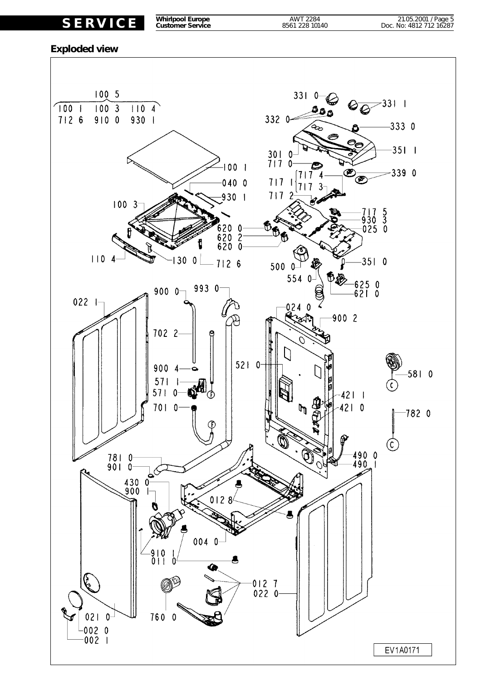# **SERVICE Whirlpool Europe** AWT 2284<br> **SERVICE Customer Service** 8561 228 10140

#### **Exploded view**

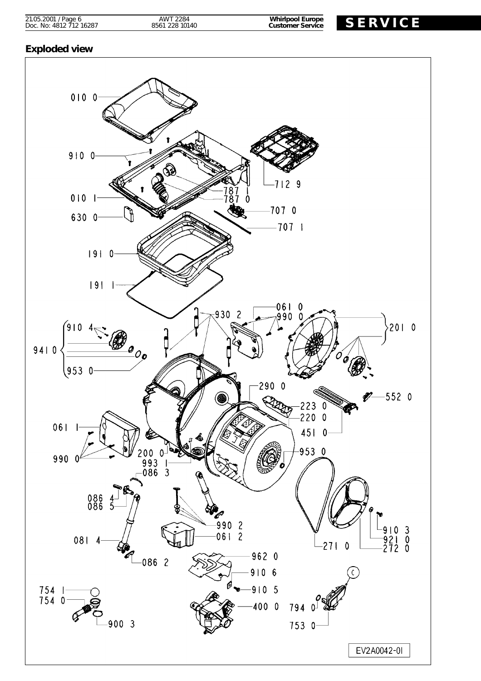| 21.05.2001 / Page 6     |  |
|-------------------------|--|
| Doc. No: 4812 712 16287 |  |

# **SERVICE** 22810140<br> **SERVICE** 228 10140

### **Exploded view**

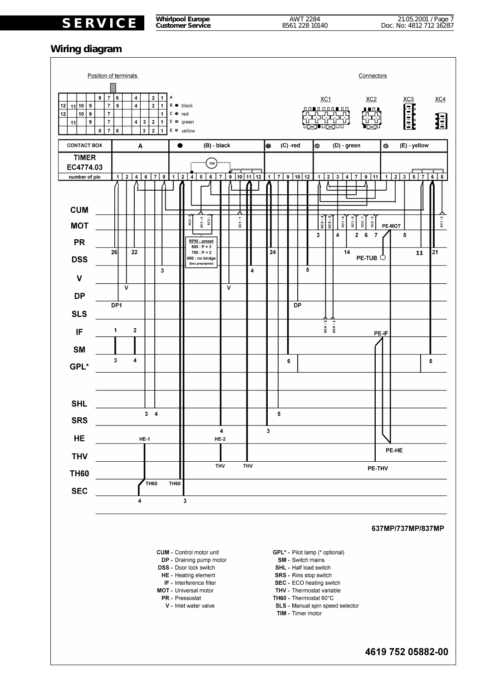**SERVICE Whirlpool Europe** AWT 2284 21.05.2001 / Page 7<br>**Customer Service** 8561 228 10140 Doc. No: 4812 712 16287

#### **Wiring diagram**

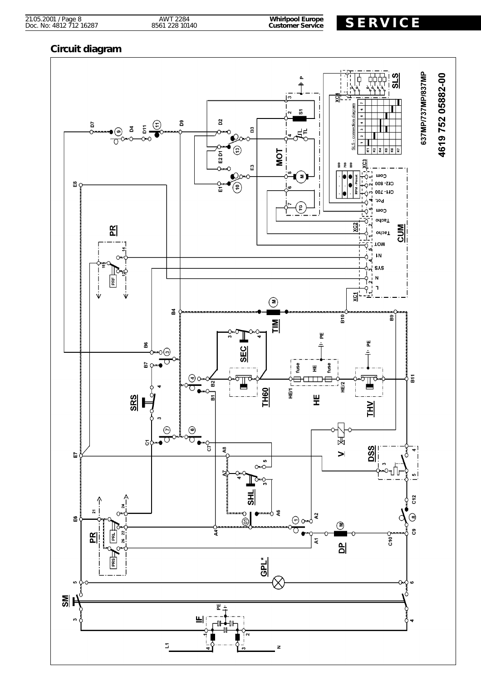# **SERVICE** 2281 228 10140 **Whirlpool Europe**<br> **SERVICE**

### **Circuit diagram**